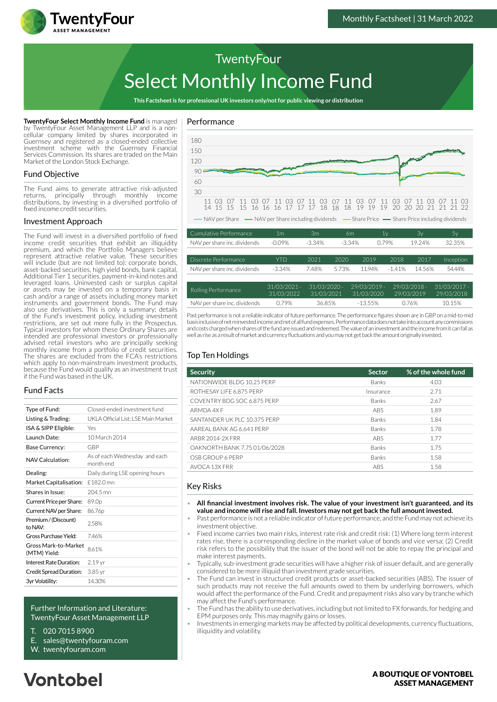

# Select Monthly Income Fund **TwentyFour**

**This Factsheet is for professional UK investors only/not for public viewing or distribution**

**TwentyFour Select Monthly Income Fund** is managed by TwentyFour Asset Management LLP and is a noncellular company limited by shares incorporated in Guernsey and registered as a closed-ended collective investment scheme with the Guernsey Financial Services Commission. Its shares are traded on the Main Market of the London Stock Exchange.

#### Fund Objective

The Fund aims to generate attractive risk-adjusted returns, principally through monthly income distributions, by investing in a diversified portfolio of fixed income credit securities.

#### Investment Approach

The Fund will invest in a diversified portfolio of fixed income credit securities that exhibit an illiquidity premium, and which the Portfolio Managers believe represent attractive relative value. These securities will include (but are not limited to): corporate bonds, asset-backed securities, high yield bonds, bank capital, Additional Tier 1 securities, payment-in-kind notes and leveraged loans. Uninvested cash or surplus capital or assets may be invested on a temporary basis in cash and/or a range of assets including money market instruments and government bonds. The Fund may also use derivatives. This is only a summary; details of the Fund's investment policy, including investment restrictions, are set out more fully in the Prospectus. Typical investors for whom these Ordinary Shares are intended are professional investors or professionally advised retail investors who are principally seeking monthly income from a portfolio of credit securities. The shares are excluded from the FCA's restrictions which apply to non-mainstream investment products. because the Fund would qualify as an investment trust if the Fund was based in the UK.

### Fund Facts

| Type of Fund:                        | Closed-ended investment fund               |  |  |
|--------------------------------------|--------------------------------------------|--|--|
| Listing & Trading:                   | UKLA Official List: LSE Main Market        |  |  |
| ISA & SIPP Eligible:                 | Yes                                        |  |  |
| Launch Date:                         | 10 March 2014                              |  |  |
| Base Currency:                       | GBP                                        |  |  |
| NAV Calculation:                     | As of each Wednesday and each<br>month end |  |  |
| Dealing:                             | Daily during LSE opening hours             |  |  |
| Market Capitalisation:               | £182.0 mn                                  |  |  |
| Shares in Issue:                     | 204.5 mn                                   |  |  |
| Current Price per Share:             | 89.0 <sub>p</sub>                          |  |  |
| Current NAV per Share:               | 86.76p                                     |  |  |
| Premium / (Discount)<br>to NAV:      | 258%                                       |  |  |
| Gross Purchase Yield:                | 746%                                       |  |  |
| Gross Mark-to-Market<br>(MTM) Yield: | 8.61%                                      |  |  |
| Interest Rate Duration:              | 2.19 yr                                    |  |  |
| Credit Spread Duration:              | 3.85 yr                                    |  |  |
| 3yr Volatility:                      | 14.30%                                     |  |  |
|                                      |                                            |  |  |

#### Further Information and Literature: TwentyFour Asset Management LLP

- T. 020 7015 8900
- E. sales@twentyfouram.com
- W. [twentyfouram.com](http://www.twentyfouram.com)

# Performance



Past performance is not a reliable indicator of future performance. The performance figures shown are in GBP on a mid-to-mid basis inclusive of net reinvested income and net of all fund expenses. Performance data does not take into account any commissions and costs charged when shares of the fund are issued and redeemed. The value of an investment and the income from it can fall as well as rise as a result of market and currency fluctuations and you may not get back the amount originally invested. NAV per share inc. dividends 0.79% 36.85% -13.55% 0.76% 10.15%

31/03/2021

31/03/2020

29/03/2019

29/03/2018

31/03/2022

### Top Ten Holdings

| <b>Security</b>               | <b>Sector</b> | % of the whole fund |
|-------------------------------|---------------|---------------------|
| NATIONWIDE BLDG 10.25 PERP    | Banks         | 4.03                |
| ROTHESAY LIFE 6.875 PERP      | Insurance     | 2.71                |
| COVENTRY BDG SOC 6.875 PERP   | <b>Banks</b>  | 2.67                |
| ARMDA 4X F                    | ABS           | 1.89                |
| SANTANDER UK PLC 10.375 PERP  | Banks         | 1.84                |
| AAREAL BANK AG 6.641 PERP     | Banks         | 1.78                |
| ARBR 2014-2X FRR              | <b>ABS</b>    | 1.77                |
| OAKNORTH BANK 7.75 01/06/2028 | Banks         | 1.75                |
| OSB GROUP 6 PERP              | Banks         | 1.58                |
| AVOCA 13X FRR                 | <b>ABS</b>    | 1.58                |

#### Key Risks

- **All financial investment involves risk. The value of your investment isn't guaranteed, and its value and income will rise and fall. Investors may not get back the full amount invested.**
- Past performance is not a reliable indicator of future performance, and the Fund may not achieve its investment objective.
- Fixed income carries two main risks, interest rate risk and credit risk: (1) Where long term interest rates rise, there is a corresponding decline in the market value of bonds and vice versa; (2) Credit risk refers to the possibility that the issuer of the bond will not be able to repay the principal and make interest payments.
- Typically, sub-investment grade securities will have a higher risk of issuer default, and are generally considered to be more illiquid than investment grade securities.
- The Fund can invest in structured credit products or asset-backed securities (ABS). The issuer of such products may not receive the full amounts owed to them by underlying borrowers, which would affect the performance of the Fund. Credit and prepayment risks also vary by tranche which may affect the Fund's performance.
- The Fund has the ability to use derivatives, including but not limited to FX forwards, for hedging and EPM purposes only. This may magnify gains or losses.
- Investments in emerging markets may be affected by political developments, currency fluctuations, illiquidity and volatility.

# **Vontobel**